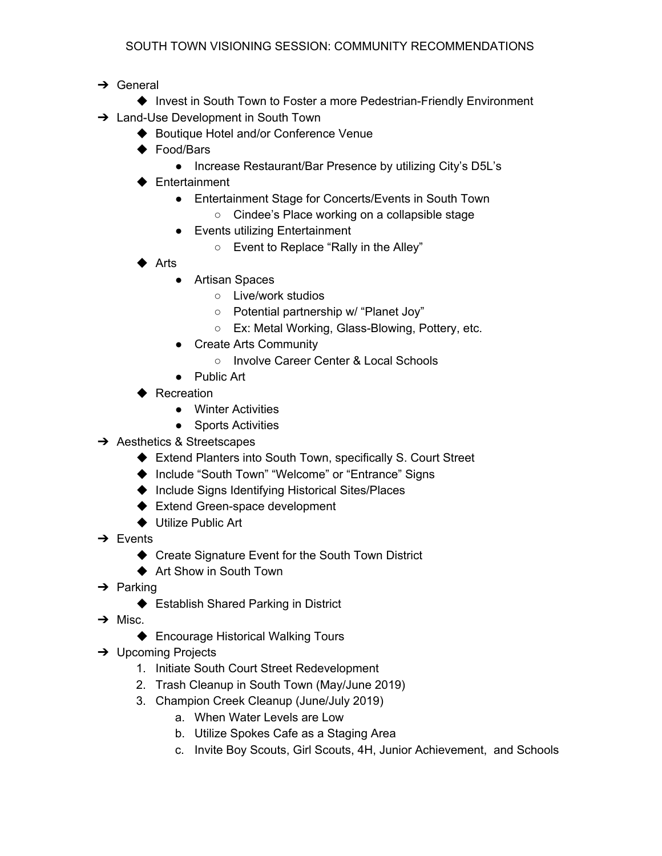- **→** General
- ◆ Invest in South Town to Foster a more Pedestrian-Friendly Environment **→** Land-Use Development in South Town
	- ◆ Boutique Hotel and/or Conference Venue
	- ◆ Food/Bars
		- Increase Restaurant/Bar Presence by utilizing City's D5L's
	- ◆ Entertainment
		- Entertainment Stage for Concerts/Events in South Town
			- Cindee's Place working on a collapsible stage
		- Events utilizing Entertainment
			- Event to Replace "Rally in the Alley"
	- ◆ Arts
		- Artisan Spaces
			- Live/work studios
			- Potential partnership w/ "Planet Joy"
			- Ex: Metal Working, Glass-Blowing, Pottery, etc.
		- Create Arts Community
			- Involve Career Center & Local Schools
		- Public Art
	- ▶ Recreation
		- Winter Activities
		- Sports Activities
- **→** Aesthetics & Streetscapes
	- ◆ Extend Planters into South Town, specifically S. Court Street
	- ◆ Include "South Town" "Welcome" or "Entrance" Signs
	- ◆ Include Signs Identifying Historical Sites/Places
	- ◆ Extend Green-space development
	- ◆ Utilize Public Art
- $\rightarrow$  Events
	- ◆ Create Signature Event for the South Town District
	- ◆ Art Show in South Town
- $\rightarrow$  Parking
	- ◆ Establish Shared Parking in District
- $\rightarrow$  Misc.
	- ◆ Encourage Historical Walking Tours
- **→** Upcoming Projects
	- 1. Initiate South Court Street Redevelopment
	- 2. Trash Cleanup in South Town (May/June 2019)
	- 3. Champion Creek Cleanup (June/July 2019)
		- a. When Water Levels are Low
		- b. Utilize Spokes Cafe as a Staging Area
		- c. Invite Boy Scouts, Girl Scouts, 4H, Junior Achievement, and Schools